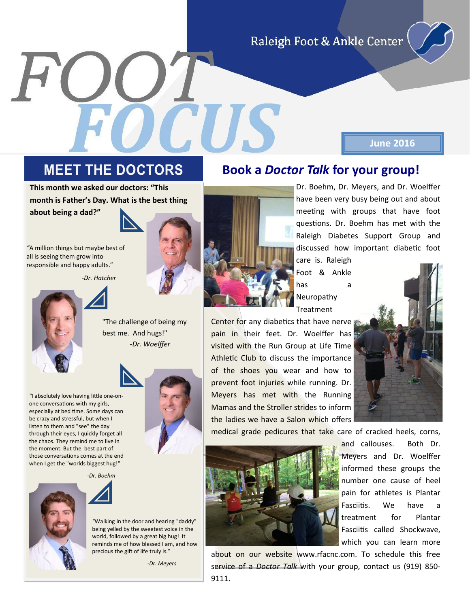Raleigh Foot & Ankle Center

#### **MEET THE DOCTORS**

**This month we asked our doctors: "This month is Father's Day. What is the best thing about being a dad?"**

*"*A million things but maybe best of all is seeing them grow into responsible and happy adults."

*-Dr. Hatcher*

"The challenge of being my best me. And hugs!" *-Dr. Woelffer*



*"*I absolutely love having little one-onone conversations with my girls, especially at bed time. Some days can be crazy and stressful, but when I listen to them and "see" the day through their eyes, I quickly forget all the chaos. They remind me to live in the moment. But the best part of those conversations comes at the end when I get the "worlds biggest hug!"

 *-Dr. Boehm*



*"*Walking in the door and hearing "daddy" being yelled by the sweetest voice in the world, followed by a great big hug! It reminds me of how blessed I am, and how precious the gift of life truly is."

*-Dr. Meyers*

Dr. Boehm, Dr. Meyers, and Dr. Woelffer have been very busy being out and about meeting with groups that have foot questions. Dr. Boehm has met with the Raleigh Diabetes Support Group and discussed how important diabetic foot

**June 2016**

care is. Raleigh Foot & Ankle has a Neuropathy Treatment

**Book a** *Doctor Talk* **for your group!**

Center for any diabetics that have nerve pain in their feet. Dr. Woelffer has visited with the Run Group at Life Time Athletic Club to discuss the importance of the shoes you wear and how to prevent foot injuries while running. Dr. Meyers has met with the Running Mamas and the Stroller strides to inform the ladies we have a Salon which offers



medical grade pedicures that take care of cracked heels, corns,



and callouses. Both Dr. Meyers and Dr. Woelffer informed these groups the number one cause of heel pain for athletes is Plantar Fasciitis. We have a treatment for Plantar Fasciitis called Shockwave, which you can learn more

about on our website www.rfacnc.com. To schedule this free service of a *Doctor Talk* with your group, contact us (919) 850- 9111.







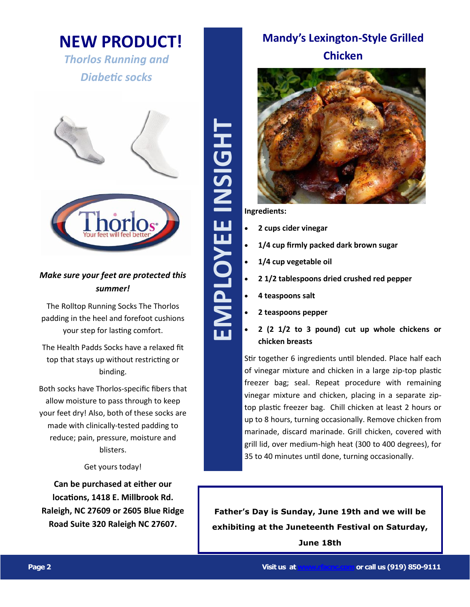#### **NEW PRODUCT!**

*Thorlos Running and Diabetic socks* 



#### *Make sure your feet are protected this summer!*

The Rolltop Running Socks The Thorlos padding in the heel and forefoot cushions your step for lasting comfort.

The Health Padds Socks have a relaxed fit top that stays up without restricting or binding.

Both socks have Thorlos -specific fibers that allow moisture to pass through to keep your feet dry! Also, both of these socks are made with clinically -tested padding to reduce; pain, pressure, moisture and blisters.

Get yours today!

**Can be purchased at either our locations, 1418 E. Millbrook Rd. Raleigh, NC 27609 or 2605 Blue Ridge Road Suite 320 Raleigh NC 27607.**

# **EMPLOYEE INSIGHT** EMPLOYEE INSIGHT

#### **Mandy's Lexington -Style Grilled Chicken**



**Ingredients:** 

- **2 cups cider vinegar**
- **1/4 cup firmly packed dark brown sugar**
- **1/4 cup vegetable oil**
- **2 1/2 tablespoons dried crushed red pepper**
- **4 teaspoons salt**
- **2 teaspoons pepper**
- **2 (2 1/2 to 3 pound) cut up whole chickens or chicken breasts**

Stir together 6 ingredients until blended. Place half each of vinegar mixture and chicken in a large zip -top plastic freezer bag; seal. Repeat procedure with remaining vinegar mixture and chicken, placing in a separate zip top plastic freezer bag. Chill chicken at least 2 hours or up to 8 hours, turning occasionally. Remove chicken from marinade, discard marinade. Grill chicken, covered with grill lid, over medium -high heat (300 to 400 degrees), for 35 to 40 minutes until done, turning occasionally.

**Father's Day is Sunday, June 19th and we will be exhibiting at the Juneteenth Festival on Saturday, June 18th**

**Page 2 Visit us at [www.rfacnc.com](http://www.rfacnc.com)or call us (919) 850 -9111**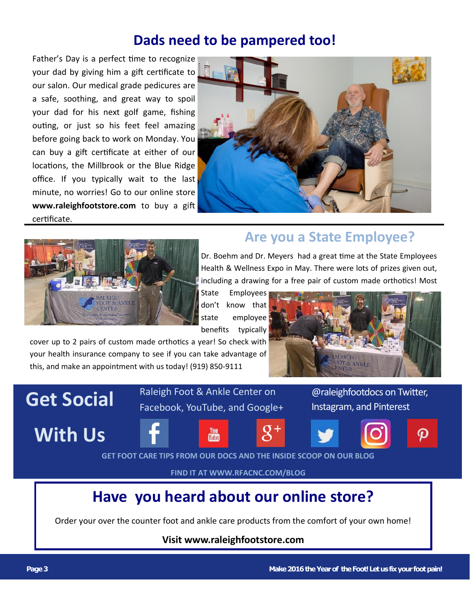#### **Dads need to be pampered too!**

Father's Day is a perfect time to recognize your dad by giving him a gift certificate to our salon. Our medical grade pedicures are a safe, soothing, and great way to spoil your dad for his next golf game, fishing outing, or just so his feet feel amazing before going back to work on Monday. You can buy a gift certificate at either of our locations, the Millbrook or the Blue Ridge office. If you typically wait to the last minute, no worries! Go to our online store **www.raleighfootstore.com** to buy a gift certificate.





#### **Are you a State Employee?**

Dr. Boehm and Dr. Meyers had a great time at the State Employees Health & Wellness Expo in May. There were lots of prizes given out, including a drawing for a free pair of custom made orthotics! Most

State Employees don't know that state employee benefits typically

cover up to 2 pairs of custom made orthotics a year! So check with your health insurance company to see if you can take advantage of this, and make an appointment with us today! (919) 850-9111



## **Get Social**

**With Us**





Raleigh Foot & Ankle Center on

Facebook, YouTube, and Google+





@raleighfootdocs on Twitter,

Instagram, and Pinterest



**GET FOOT CARE TIPS FROM OUR DOCS AND THE INSIDE SCOOP ON OUR BLOG**

**FIND IT AT WWW.RFACNC.COM/BLOG**

### **Have you heard about our online store?**

Order your over the counter foot and ankle care products from the comfort of your own home!

#### **Visit www.raleighfootstore.com**